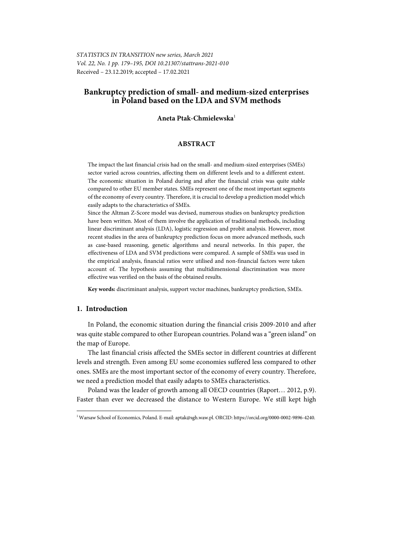*STATISTICS IN TRANSITION new series, March 2021 Vol. 22, No. 1 pp. 179–195, DOI 10.21307/stattrans-2021-010*  Received – 23.12.2019; accepted – 17.02.2021

# **Bankruptcy prediction of small- and medium-sized enterprises in Poland based on the LDA and SVM methods**

## **Aneta Ptak-Chmielewska**<sup>1</sup>

## **ABSTRACT**

The impact the last financial crisis had on the small- and medium-sized enterprises (SMEs) sector varied across countries, affecting them on different levels and to a different extent. The economic situation in Poland during and after the financial crisis was quite stable compared to other EU member states. SMEs represent one of the most important segments of the economy of every country. Therefore, it is crucial to develop a prediction model which easily adapts to the characteristics of SMEs.

Since the Altman Z-Score model was devised, numerous studies on bankruptcy prediction have been written. Most of them involve the application of traditional methods, including linear discriminant analysis (LDA), logistic regression and probit analysis. However, most recent studies in the area of bankruptcy prediction focus on more advanced methods, such as case-based reasoning, genetic algorithms and neural networks. In this paper, the effectiveness of LDA and SVM predictions were compared. A sample of SMEs was used in the empirical analysis, financial ratios were utilised and non-financial factors were taken account of. The hypothesis assuming that multidimensional discrimination was more effective was verified on the basis of the obtained results.

**Key words:** discriminant analysis, support vector machines, bankruptcy prediction, SMEs.

## **1. Introduction**

l

In Poland, the economic situation during the financial crisis 2009-2010 and after was quite stable compared to other European countries. Poland was a "green island" on the map of Europe.

The last financial crisis affected the SMEs sector in different countries at different levels and strength. Even among EU some economies suffered less compared to other ones. SMEs are the most important sector of the economy of every country. Therefore, we need a prediction model that easily adapts to SMEs characteristics.

Poland was the leader of growth among all OECD countries (Raport… 2012, p.9). Faster than ever we decreased the distance to Western Europe. We still kept high

<sup>1</sup> Warsaw School of Economics, Poland. E-mail: aptak@sgh.waw.pl. ORCID: https://orcid.org/0000-0002-9896-4240.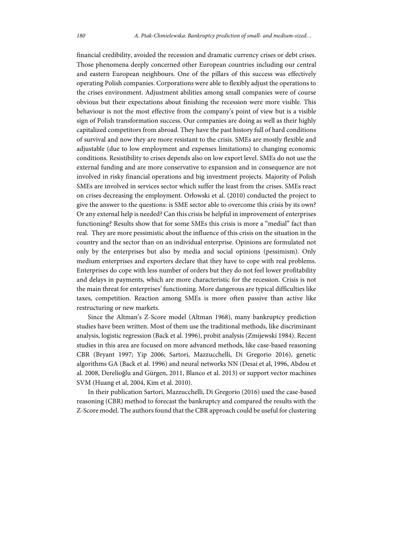financial credibility, avoided the recession and dramatic currency crises or debt crises. Those phenomena deeply concerned other European countries including our central and eastern European neighbours. One of the pillars of this success was effectively operating Polish companies. Corporations were able to flexibly adjust the operations to the crises environment. Adjustment abilities among small companies were of course obvious but their expectations about finishing the recession were more visible. This behaviour is not the most effective from the company's point of view but is a visible sign of Polish transformation success. Our companies are doing as well as their highly capitalized competitors from abroad. They have the past history full of hard conditions of survival and now they are more resistant to the crisis. SMEs are mostly flexible and adjustable (due to low employment and expenses limitations) to changing economic conditions. Resistibility to crises depends also on low export level. SMEs do not use the external funding and are more conservative to expansion and in consequence are not involved in risky financial operations and big investment projects. Majority of Polish SMEs are involved in services sector which suffer the least from the crises. SMEs react on crises decreasing the employment. Orłowski et al. (2010) conducted the project to give the answer to the questions: is SME sector able to overcome this crisis by its own? Or any external help is needed? Can this crisis be helpful in improvement of enterprises functioning? Results show that for some SMEs this crisis is more a "medial" fact than real. They are more pessimistic about the influence of this crisis on the situation in the country and the sector than on an individual enterprise. Opinions are formulated not only by the enterprises but also by media and social opinions (pessimism). Only medium enterprises and exporters declare that they have to cope with real problems. Enterprises do cope with less number of orders but they do not feel lower profitability and delays in payments, which are more characteristic for the recession. Crisis is not the main threat for enterprises' functioning. More dangerous are typical difficulties like taxes, competition. Reaction among SMEs is more often passive than active like restructuring or new markets.

Since the Altman's Z-Score model (Altman 1968), many bankruptcy prediction studies have been written. Most of them use the traditional methods, like discriminant analysis, logistic regression (Back et al. 1996), probit analysis (Zmijewski 1984). Recent studies in this area are focused on more advanced methods, like case-based reasoning CBR (Bryant 1997; Yip 2006; Sartori, Mazzucchelli, Di Gregorio 2016), genetic algorithms GA (Back et al. 1996) and neural networks NN (Desai et al, 1996, Abdou et al. 2008, Derelioğlu and Gürgen, 2011, Blanco et al. 2013) or support vector machines SVM (Huang et al, 2004, Kim et al. 2010).

In their publication Sartori, Mazzucchelli, Di Gregorio (2016) used the case-based reasoning (CBR) method to forecast the bankruptcy and compared the results with the Z-Score model. The authors found that the CBR approach could be useful for clustering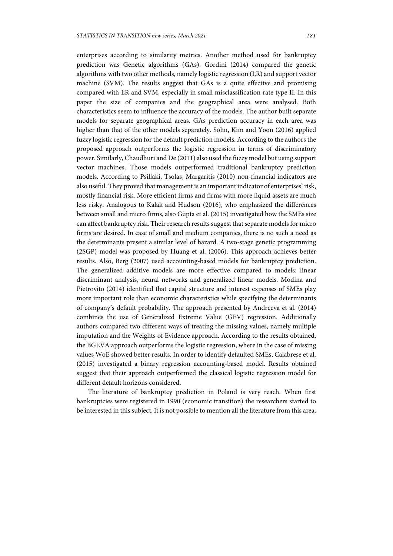enterprises according to similarity metrics. Another method used for bankruptcy prediction was Genetic algorithms (GAs). Gordini (2014) compared the genetic algorithms with two other methods, namely logistic regression (LR) and support vector machine (SVM). The results suggest that GAs is a quite effective and promising compared with LR and SVM, especially in small misclassification rate type II. In this paper the size of companies and the geographical area were analysed. Both characteristics seem to influence the accuracy of the models. The author built separate models for separate geographical areas. GAs prediction accuracy in each area was higher than that of the other models separately. Sohn, Kim and Yoon (2016) applied fuzzy logistic regression for the default prediction models. According to the authors the proposed approach outperforms the logistic regression in terms of discriminatory power. Similarly, Chaudhuri and De (2011) also used the fuzzy model but using support vector machines. Those models outperformed traditional bankruptcy prediction models. According to Psillaki, Tsolas, Margaritis (2010) non-financial indicators are also useful. They proved that management is an important indicator of enterprises' risk, mostly financial risk. More efficient firms and firms with more liquid assets are much less risky. Analogous to Kalak and Hudson (2016), who emphasized the differences between small and micro firms, also Gupta et al. (2015) investigated how the SMEs size can affect bankruptcy risk. Their research results suggest that separate models for micro firms are desired. In case of small and medium companies, there is no such a need as the determinants present a similar level of hazard. A two-stage genetic programming (2SGP) model was proposed by Huang et al. (2006). This approach achieves better results. Also, Berg (2007) used accounting-based models for bankruptcy prediction. The generalized additive models are more effective compared to models: linear discriminant analysis, neural networks and generalized linear models. Modina and Pietrovito (2014) identified that capital structure and interest expenses of SMEs play more important role than economic characteristics while specifying the determinants of company's default probability. The approach presented by Andreeva et al. (2014) combines the use of Generalized Extreme Value (GEV) regression. Additionally authors compared two different ways of treating the missing values, namely multiple imputation and the Weights of Evidence approach. According to the results obtained, the BGEVA approach outperforms the logistic regression, where in the case of missing values WoE showed better results. In order to identify defaulted SMEs, Calabrese et al. (2015) investigated a binary regression accounting-based model. Results obtained suggest that their approach outperformed the classical logistic regression model for different default horizons considered.

The literature of bankruptcy prediction in Poland is very reach. When first bankruptcies were registered in 1990 (economic transition) the researchers started to be interested in this subject. It is not possible to mention all the literature from this area.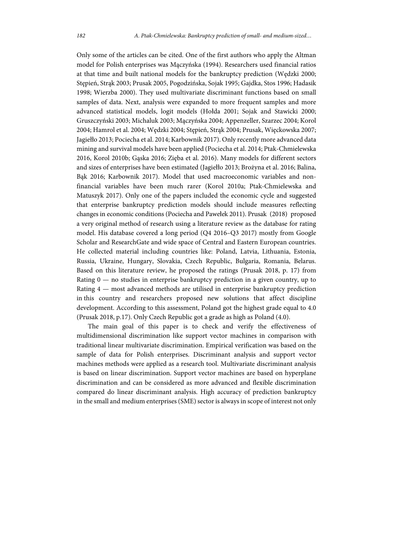Only some of the articles can be cited. One of the first authors who apply the Altman model for Polish enterprises was Mączyńska (1994). Researchers used financial ratios at that time and built national models for the bankruptcy prediction (Wędzki 2000; Stępień, Strąk 2003; Prusak 2005, Pogodzińska, Sojak 1995; Gajdka, Stos 1996; Hadasik 1998; Wierzba 2000). They used multivariate discriminant functions based on small samples of data. Next, analysis were expanded to more frequent samples and more advanced statistical models, logit models (Hołda 2001; Sojak and Stawicki 2000; Gruszczyński 2003; Michaluk 2003; Mączyńska 2004; Appenzeller, Szarzec 2004; Korol 2004; Hamrol et al. 2004; Wędzki 2004; Stępień, Strąk 2004; Prusak, Więckowska 2007; Jagiełło 2013; Pociecha et al. 2014; Karbownik 2017). Only recently more advanced data mining and survival models have been applied (Pociecha et al. 2014; Ptak-Chmielewska 2016, Korol 2010b; Gąska 2016; Zięba et al. 2016). Many models for different sectors and sizes of enterprises have been estimated (Jagiełło 2013; Brożyna et al. 2016; Balina, Bąk 2016; Karbownik 2017). Model that used macroeconomic variables and nonfinancial variables have been much rarer (Korol 2010a; Ptak-Chmielewska and Matuszyk 2017). Only one of the papers included the economic cycle and suggested that enterprise bankruptcy prediction models should include measures reflecting changes in economic conditions (Pociecha and Pawełek 2011). Prusak (2018) proposed a very original method of research using a literature review as the database for rating model. His database covered a long period (Q4 2016–Q3 2017) mostly from Google Scholar and ResearchGate and wide space of Central and Eastern European countries. He collected material including countries like: Poland, Latvia, Lithuania, Estonia, Russia, Ukraine, Hungary, Slovakia, Czech Republic, Bulgaria, Romania, Belarus. Based on this literature review, he proposed the ratings (Prusak 2018, p. 17) from Rating  $0$  — no studies in enterprise bankruptcy prediction in a given country, up to Rating 4 — most advanced methods are utilised in enterprise bankruptcy prediction in this country and researchers proposed new solutions that affect discipline development. According to this assessment, Poland got the highest grade equal to 4.0 (Prusak 2018, p.17). Only Czech Republic got a grade as high as Poland (4.0).

The main goal of this paper is to check and verify the effectiveness of multidimensional discrimination like support vector machines in comparison with traditional linear multivariate discrimination. Empirical verification was based on the sample of data for Polish enterprises. Discriminant analysis and support vector machines methods were applied as a research tool. Multivariate discriminant analysis is based on linear discrimination. Support vector machines are based on hyperplane discrimination and can be considered as more advanced and flexible discrimination compared do linear discriminant analysis. High accuracy of prediction bankruptcy in the small and medium enterprises (SME) sector is always in scope of interest not only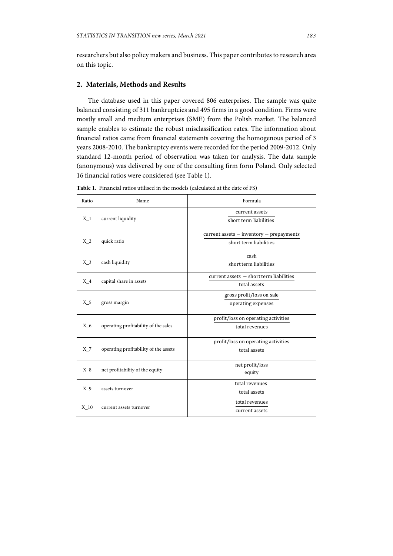researchers but also policy makers and business. This paper contributes to research area on this topic.

## **2. Materials, Methods and Results**

The database used in this paper covered 806 enterprises. The sample was quite balanced consisting of 311 bankruptcies and 495 firms in a good condition. Firms were mostly small and medium enterprises (SME) from the Polish market. The balanced sample enables to estimate the robust misclassification rates. The information about financial ratios came from financial statements covering the homogenous period of 3 years 2008-2010. The bankruptcy events were recorded for the period 2009-2012. Only standard 12-month period of observation was taken for analysis. The data sample (anonymous) was delivered by one of the consulting firm form Poland. Only selected 16 financial ratios were considered (see Table 1).

| Ratio                      | Name                                  | Formula                                        |  |
|----------------------------|---------------------------------------|------------------------------------------------|--|
| $X_1$<br>current liquidity |                                       | current assets                                 |  |
|                            |                                       | short term liabilities                         |  |
|                            |                                       | $current$ assets $-$ inventory $-$ prepayments |  |
| $X_2$                      | quick ratio                           | short term liabilities                         |  |
|                            |                                       | cash                                           |  |
| $X_3$                      | cash liquidity                        | short term liabilities                         |  |
|                            |                                       | current assets - short term liabilities        |  |
| $X_4$                      | capital share in assets               | total assets                                   |  |
|                            |                                       | gross profit/loss on sale                      |  |
| $X_5$                      | gross margin                          | operating expenses                             |  |
|                            |                                       | profit/loss on operating activities            |  |
| $X_6$                      | operating profitability of the sales  | total revenues                                 |  |
|                            |                                       | profit/loss on operating activities            |  |
| $X_7$                      | operating profitability of the assets | total assets                                   |  |
|                            |                                       | net profit/loss                                |  |
| $X_8$                      | net profitability of the equity       | equity                                         |  |
|                            | assets turnover                       | total revenues                                 |  |
| $X_9$                      |                                       | total assets                                   |  |
|                            |                                       | total revenues                                 |  |
| $X_10$                     | current assets turnover               | current assets                                 |  |

**Table 1.** Financial ratios utilised in the models (calculated at the date of FS)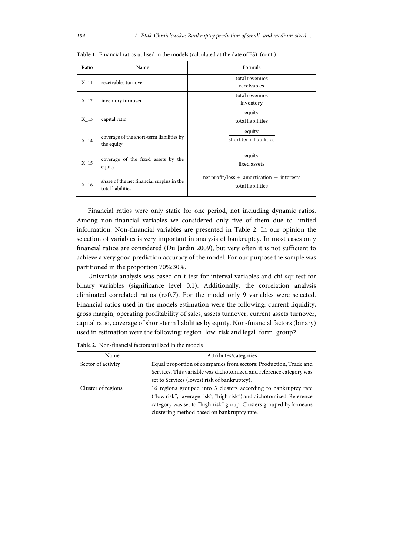| Ratio  | Name                                                           | Formula                                                         |  |
|--------|----------------------------------------------------------------|-----------------------------------------------------------------|--|
| $X_11$ | receivables turnover                                           | total revenues<br>receivables                                   |  |
| $X_12$ | inventory turnover                                             | total revenues<br>inventory                                     |  |
| $X_13$ | capital ratio                                                  | equity<br>total liabilities                                     |  |
| $X_14$ | coverage of the short-term liabilities by<br>the equity        | equity<br>short term liabilities                                |  |
| $X_15$ | coverage of the fixed assets by the<br>equity                  | equity<br>fixed assets                                          |  |
| X 16   | share of the net financial surplus in the<br>total liabilities | net profit/loss + amortisation + interests<br>total liabilities |  |

**Table 1.** Financial ratios utilised in the models (calculated at the date of FS) (cont.)

Financial ratios were only static for one period, not including dynamic ratios. Among non-financial variables we considered only five of them due to limited information. Non-financial variables are presented in Table 2. In our opinion the selection of variables is very important in analysis of bankruptcy. In most cases only financial ratios are considered (Du Jardin 2009), but very often it is not sufficient to achieve a very good prediction accuracy of the model. For our purpose the sample was partitioned in the proportion 70%:30%.

Univariate analysis was based on t-test for interval variables and chi-sqr test for binary variables (significance level 0.1). Additionally, the correlation analysis eliminated correlated ratios (r>0.7). For the model only 9 variables were selected. Financial ratios used in the models estimation were the following: current liquidity, gross margin, operating profitability of sales, assets turnover, current assets turnover, capital ratio, coverage of short-term liabilities by equity. Non-financial factors (binary) used in estimation were the following: region\_low\_risk and legal\_form\_group2.

| Name               | Attributes/categories                                                 |  |  |
|--------------------|-----------------------------------------------------------------------|--|--|
| Sector of activity | Equal proportion of companies from sectors: Production, Trade and     |  |  |
|                    | Services. This variable was dichotomized and reference category was   |  |  |
|                    | set to Services (lowest risk of bankruptcy).                          |  |  |
| Cluster of regions | 16 regions grouped into 3 clusters according to bankruptcy rate       |  |  |
|                    | ("low risk", "average risk", "high risk") and dichotomized. Reference |  |  |
|                    | category was set to "high risk" group. Clusters grouped by k-means    |  |  |
|                    | clustering method based on bankruptcy rate.                           |  |  |

**Table 2.** Non-financial factors utilized in the models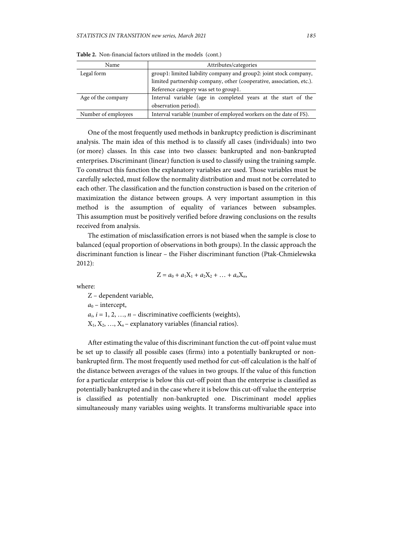| Name                | Attributes/categories                                                |  |  |
|---------------------|----------------------------------------------------------------------|--|--|
| Legal form          | group1: limited liability company and group2: joint stock company,   |  |  |
|                     | limited partnership company, other (cooperative, association, etc.). |  |  |
|                     | Reference category was set to group1.                                |  |  |
| Age of the company  | Interval variable (age in completed years at the start of the        |  |  |
|                     | observation period).                                                 |  |  |
| Number of employees | Interval variable (number of employed workers on the date of FS).    |  |  |

**Table 2.** Non-financial factors utilized in the models (cont.)

One of the most frequently used methods in bankruptcy prediction is discriminant analysis. The main idea of this method is to classify all cases (individuals) into two (or more) classes. In this case into two classes: bankrupted and non-bankrupted enterprises. Discriminant (linear) function is used to classify using the training sample. To construct this function the explanatory variables are used. Those variables must be carefully selected, must follow the normality distribution and must not be correlated to each other. The classification and the function construction is based on the criterion of maximization the distance between groups. A very important assumption in this method is the assumption of equality of variances between subsamples. This assumption must be positively verified before drawing conclusions on the results received from analysis.

The estimation of misclassification errors is not biased when the sample is close to balanced (equal proportion of observations in both groups). In the classic approach the discriminant function is linear – the Fisher discriminant function (Ptak-Chmielewska 2012):

$$
Z = a_0 + a_1 X_1 + a_2 X_2 + \ldots + a_n X_n,
$$

where:

Z – dependent variable,

 $a_0$  – intercept,

 $a_i$ ,  $i = 1, 2, ..., n$  – discriminative coefficients (weights),

 $X_1, X_2, \ldots, X_n$  – explanatory variables (financial ratios).

After estimating the value of this discriminant function the cut-off point value must be set up to classify all possible cases (firms) into a potentially bankrupted or nonbankrupted firm. The most frequently used method for cut-off calculation is the half of the distance between averages of the values in two groups. If the value of this function for a particular enterprise is below this cut-off point than the enterprise is classified as potentially bankrupted and in the case where it is below this cut-off value the enterprise is classified as potentially non-bankrupted one. Discriminant model applies simultaneously many variables using weights. It transforms multivariable space into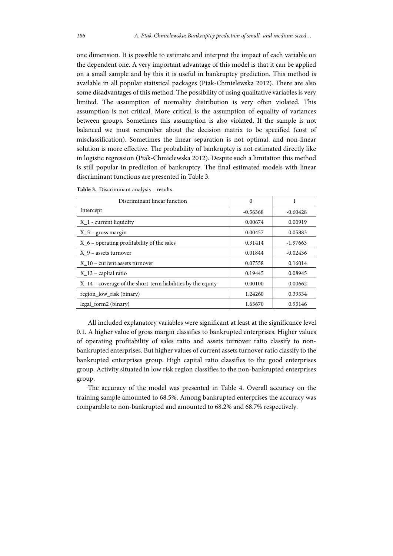one dimension. It is possible to estimate and interpret the impact of each variable on the dependent one. A very important advantage of this model is that it can be applied on a small sample and by this it is useful in bankruptcy prediction. This method is available in all popular statistical packages (Ptak-Chmielewska 2012). There are also some disadvantages of this method. The possibility of using qualitative variables is very limited. The assumption of normality distribution is very often violated. This assumption is not critical. More critical is the assumption of equality of variances between groups. Sometimes this assumption is also violated. If the sample is not balanced we must remember about the decision matrix to be specified (cost of misclassification). Sometimes the linear separation is not optimal, and non-linear solution is more effective. The probability of bankruptcy is not estimated directly like in logistic regression (Ptak-Chmielewska 2012). Despite such a limitation this method is still popular in prediction of bankruptcy. The final estimated models with linear discriminant functions are presented in Table 3.

| Discriminant linear function                                  | $\Omega$   | 1          |
|---------------------------------------------------------------|------------|------------|
| Intercept                                                     | $-0.56368$ | $-0.60428$ |
| $X_1$ - current liquidity                                     | 0.00674    | 0.00919    |
| $X_5$ – gross margin                                          | 0.00457    | 0.05883    |
| $X_6$ – operating profitability of the sales                  | 0.31414    | $-1.97663$ |
| $X$ 9 – assets turnover                                       | 0.01844    | $-0.02436$ |
| X 10 – current assets turnover                                | 0.07558    | 0.16014    |
| $X_1$ 3 – capital ratio                                       | 0.19445    | 0.08945    |
| $X_14$ – coverage of the short-term liabilities by the equity | $-0.00100$ | 0.00662    |
| region low risk (binary)                                      | 1.24260    | 0.39534    |
| legal_form2 (binary)                                          | 1.65670    | 0.95146    |

**Table 3.** Discriminant analysis – results

All included explanatory variables were significant at least at the significance level 0.1. A higher value of gross margin classifies to bankrupted enterprises. Higher values of operating profitability of sales ratio and assets turnover ratio classify to nonbankrupted enterprises. But higher values of current assets turnover ratio classify to the bankrupted enterprises group. High capital ratio classifies to the good enterprises group. Activity situated in low risk region classifies to the non-bankrupted enterprises group.

The accuracy of the model was presented in Table 4. Overall accuracy on the training sample amounted to 68.5%. Among bankrupted enterprises the accuracy was comparable to non-bankrupted and amounted to 68.2% and 68.7% respectively.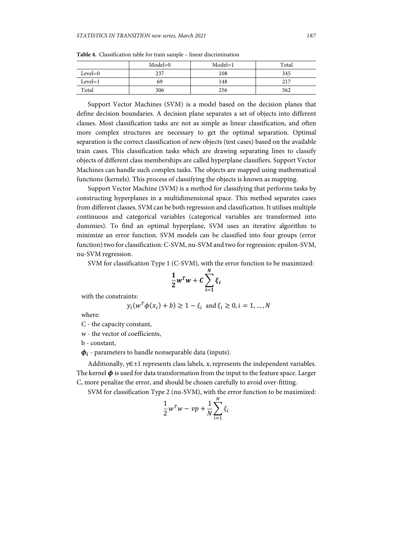|           | $Model=0$ | $Model=1$ | Total |
|-----------|-----------|-----------|-------|
| $Level=0$ | 237       | 108       | 345   |
| $Level=1$ | 69        | 148       | 217   |
| Total     | 306       | 256       | 562   |

**Table 4.** Classification table for train sample – linear discrimination

Support Vector Machines (SVM) is a model based on the decision planes that define decision boundaries. A decision plane separates a set of objects into different classes. Most classification tasks are not as simple as linear classification, and often more complex structures are necessary to get the optimal separation. Optimal separation is the correct classification of new objects (test cases) based on the available train cases. This classification tasks which are drawing separating lines to classify objects of different class memberships are called hyperplane classifiers. Support Vector Machines can handle such complex tasks. The objects are mapped using mathematical functions (kernels). This process of classifying the objects is known as mapping.

Support Vector Machine (SVM) is a method for classifying that performs tasks by constructing hyperplanes in a multidimensional space. This method separates cases from different classes. SVM can be both regression and classification. It utilises multiple continuous and categorical variables (categorical variables are transformed into dummies). To find an optimal hyperplane, SVM uses an iterative algorithm to minimize an error function. SVM models can be classified into four groups (error function) two for classification: C-SVM, nu-SVM and two for regression: epsilon-SVM, nu-SVM regression.

SVM for classification Type 1 (C-SVM), with the error function to be maximized:

$$
\frac{1}{2}w^Tw + C\sum_{i=1}^N \xi_i
$$

with the constraints:

$$
y_i(w^T\phi(x_i) + b) \ge 1 - \xi_i
$$
 and  $\xi_i \ge 0, i = 1, ..., N$ 

where:

C - the capacity constant,

w - the vector of coefficients,

b - constant,

 $\phi_i$  - parameters to handle nonseparable data (inputs).

Additionally, y∈±1 represents class labels, x*i* represents the independent variables. The kernel  $\phi$  is used for data transformation from the input to the feature space. Larger C, more penalize the error, and should be chosen carefully to avoid over-fitting.

SVM for classification Type 2 (nu-SVM), with the error function to be maximized:

$$
\frac{1}{2}w^T w - vp + \frac{1}{N} \sum_{i=1}^N \xi_i
$$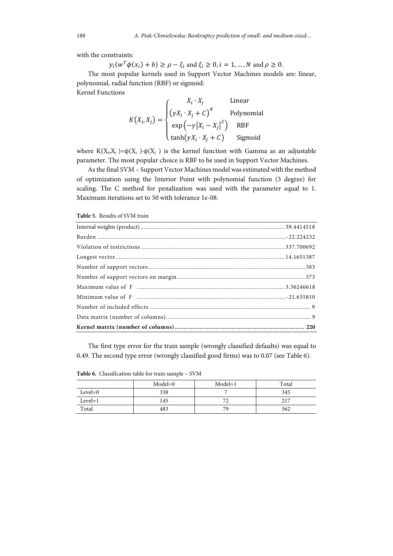with the constraints:

 $y_i(w^T \phi(x_i) + b) \ge \rho - \xi_i$  and  $\xi_i \ge 0, i = 1, ..., N$  and  $\rho \ge 0$ .

The most popular kernels used in Support Vector Machines models are: linear, polynomial, radial function (RBF) or sigmoid: Kernel Functions

$$
K(X_i, X_j) = \begin{cases} X_i \cdot X_j & \text{Linear} \\ (\gamma X_i \cdot X_j + C)^d & \text{Polynomial} \\ \exp(-\gamma |X_i - X_j|^2) & \text{RBF} \\ \tanh(\gamma X_i \cdot X_j + C) & \text{Sigmoid} \end{cases}
$$

where K(X<sub>*i*</sub>,X<sub>*i*</sub>)= $\phi$ (X<sub>*i*</sub> )⋅ $\phi$ (X<sub>*i*</sub>)</sub> is the kernel function with Gamma as an adjustable parameter. The most popular choice is RBF to be used in Support Vector Machines.

As the final SVM – Support Vector Machines model was estimated with the method of optimization using the Interior Point with polynomial function (3 degree) for scaling. The C method for penalization was used with the parameter equal to 1. Maximum iterations set to 50 with tolerance 1e-08.

**Table 5.** Results of SVM train

The first type error for the train sample (wrongly classified defaults) was equal to 0.49. The second type error (wrongly classified good firms) was to 0.07 (see Table 6).

**Table 6.** Classification table for train sample – SVM

|           | $Model=0$ | $Model=1$ | Total |
|-----------|-----------|-----------|-------|
| $Level=0$ | 338       |           | 345   |
| $Level=1$ | 145       | 71        | 217   |
| Total     | 483       | 79        | 562   |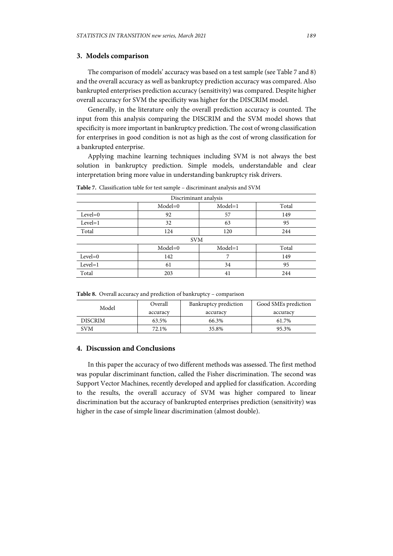## **3. Models comparison**

The comparison of models' accuracy was based on a test sample (see Table 7 and 8) and the overall accuracy as well as bankruptcy prediction accuracy was compared. Also bankrupted enterprises prediction accuracy (sensitivity) was compared. Despite higher overall accuracy for SVM the specificity was higher for the DISCRIM model.

Generally, in the literature only the overall prediction accuracy is counted. The input from this analysis comparing the DISCRIM and the SVM model shows that specificity is more important in bankruptcy prediction. The cost of wrong classification for enterprises in good condition is not as high as the cost of wrong classification for a bankrupted enterprise.

Applying machine learning techniques including SVM is not always the best solution in bankruptcy prediction. Simple models, understandable and clear interpretation bring more value in understanding bankruptcy risk drivers.

| Discriminant analysis         |           |           |       |  |
|-------------------------------|-----------|-----------|-------|--|
|                               | $Model=0$ | $Model=1$ | Total |  |
| $Level=0$                     | 92        | 57        | 149   |  |
| $Level=1$                     | 32        | 63        | 95    |  |
| Total                         | 124       | 120       | 244   |  |
| <b>SVM</b>                    |           |           |       |  |
| Model=0<br>$Model=1$<br>Total |           |           |       |  |
| $Level=0$                     | 142       |           | 149   |  |
| $Level=1$                     | 61        | 34        | 95    |  |
| Total                         | 203       | 41        | 244   |  |

**Table 7.** Classification table for test sample – discriminant analysis and SVM

**Table 8.** Overall accuracy and prediction of bankruptcy – comparison

| Model          | Overall  | Bankruptcy prediction | Good SMEs prediction |
|----------------|----------|-----------------------|----------------------|
|                | accuracy | accuracy              | accuracy             |
| <b>DISCRIM</b> | 63.5%    | 66.3%                 | 61.7%                |
| SVM            | 72.1%    | 35.8%                 | 95.3%                |

## **4. Discussion and Conclusions**

In this paper the accuracy of two different methods was assessed. The first method was popular discriminant function, called the Fisher discrimination. The second was Support Vector Machines, recently developed and applied for classification. According to the results, the overall accuracy of SVM was higher compared to linear discrimination but the accuracy of bankrupted enterprises prediction (sensitivity) was higher in the case of simple linear discrimination (almost double).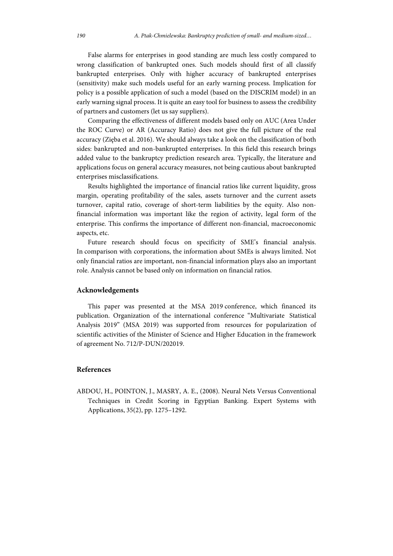False alarms for enterprises in good standing are much less costly compared to wrong classification of bankrupted ones. Such models should first of all classify bankrupted enterprises. Only with higher accuracy of bankrupted enterprises (sensitivity) make such models useful for an early warning process. Implication for policy is a possible application of such a model (based on the DISCRIM model) in an early warning signal process. It is quite an easy tool for business to assess the credibility of partners and customers (let us say suppliers).

Comparing the effectiveness of different models based only on AUC (Area Under the ROC Curve) or AR (Accuracy Ratio) does not give the full picture of the real accuracy (Zięba et al. 2016). We should always take a look on the classification of both sides: bankrupted and non-bankrupted enterprises. In this field this research brings added value to the bankruptcy prediction research area. Typically, the literature and applications focus on general accuracy measures, not being cautious about bankrupted enterprises misclassifications.

Results highlighted the importance of financial ratios like current liquidity, gross margin, operating profitability of the sales, assets turnover and the current assets turnover, capital ratio, coverage of short-term liabilities by the equity. Also nonfinancial information was important like the region of activity, legal form of the enterprise. This confirms the importance of different non-financial, macroeconomic aspects, etc.

Future research should focus on specificity of SME's financial analysis. In comparison with corporations, the information about SMEs is always limited. Not only financial ratios are important, non-financial information plays also an important role. Analysis cannot be based only on information on financial ratios.

#### **Acknowledgements**

This paper was presented at the MSA 2019 conference, which financed its publication. Organization of the international conference "Multivariate Statistical Analysis 2019" (MSA 2019) was supported from resources for popularization of scientific activities of the Minister of Science and Higher Education in the framework of agreement No. 712/P-DUN/202019.

## **References**

ABDOU, H., POINTON, J., MASRY, A. E., (2008). Neural Nets Versus Conventional Techniques in Credit Scoring in Egyptian Banking. Expert Systems with Applications, 35(2), pp. 1275–1292.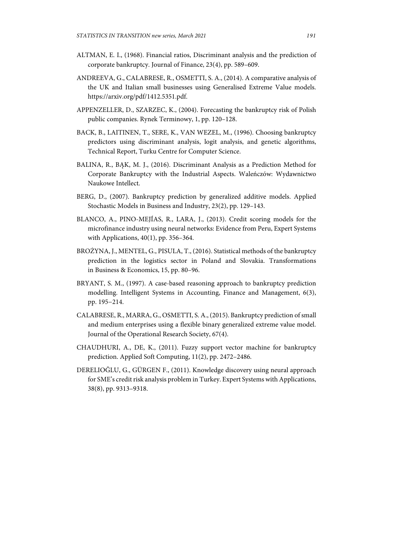- ALTMAN, E. I., (1968). Financial ratios, Discriminant analysis and the prediction of corporate bankruptcy. Journal of Finance, 23(4), pp. 589–609.
- ANDREEVA, G., CALABRESE, R., OSMETTI, S. A., (2014). A comparative analysis of the UK and Italian small businesses using Generalised Extreme Value models. https://arxiv.org/pdf/1412.5351.pdf.
- APPENZELLER, D., SZARZEC, K., (2004). Forecasting the bankruptcy risk of Polish public companies. Rynek Terminowy, 1, pp. 120–128.
- BACK, B., LAITINEN, T., SERE, K., VAN WEZEL, M., (1996). Choosing bankruptcy predictors using discriminant analysis, logit analysis, and genetic algorithms, Technical Report, Turku Centre for Computer Science.
- BALINA, R., BĄK, M. J., (2016). Discriminant Analysis as a Prediction Method for Corporate Bankruptcy with the Industrial Aspects. Waleńczów: Wydawnictwo Naukowe Intellect.
- BERG, D., (2007). Bankruptcy prediction by generalized additive models. Applied Stochastic Models in Business and Industry, 23(2), pp. 129–143.
- BLANCO, A., PINO-MEJÍAS, R., LARA, J., (2013). Credit scoring models for the microfinance industry using neural networks: Evidence from Peru, Expert Systems with Applications, 40(1), pp. 356–364.
- BROŻYNA, J., MENTEL, G., PISULA, T., (2016). Statistical methods of the bankruptcy prediction in the logistics sector in Poland and Slovakia. Transformations in Business & Economics, 15, pp. 80–96.
- BRYANT, S. M., (1997). A case-based reasoning approach to bankruptcy prediction modelling. Intelligent Systems in Accounting, Finance and Management, 6(3), pp. 195−214.
- CALABRESE, R., MARRA, G., OSMETTI, S. A., (2015). Bankruptcy prediction of small and medium enterprises using a flexible binary generalized extreme value model. Journal of the Operational Research Society, 67(4).
- CHAUDHURI, A., DE, K., (2011). Fuzzy support vector machine for bankruptcy prediction. Applied Soft Computing, 11(2), pp. 2472–2486.
- DERELIOĞLU, G., GÜRGEN F., (2011). Knowledge discovery using neural approach for SME's credit risk analysis problem in Turkey. Expert Systems with Applications, 38(8), pp. 9313–9318.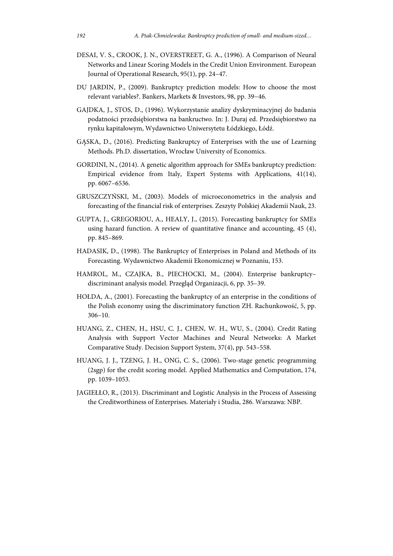- DESAI, V. S., CROOK, J. N., OVERSTREET, G. A., (1996). A Comparison of Neural Networks and Linear Scoring Models in the Credit Union Environment. European Journal of Operational Research, 95(1), pp. 24–47.
- DU JARDIN, P., (2009). Bankruptcy prediction models: How to choose the most relevant variables?. Bankers, Markets & Investors, 98, pp. 39−46.
- GAJDKA, J., STOS, D., (1996). Wykorzystanie analizy dyskryminacyjnej do badania podatności przedsiębiorstwa na bankructwo. In: J. Duraj ed. Przedsiębiorstwo na rynku kapitałowym, Wydawnictwo Uniwersytetu Łódzkiego, Łódź.
- GĄSKA, D., (2016). Predicting Bankruptcy of Enterprises with the use of Learning Methods. Ph.D. dissertation, Wrocław University of Economics.
- GORDINI, N., (2014). A genetic algorithm approach for SMEs bankruptcy prediction: Empirical evidence from Italy, Expert Systems with Applications, 41(14), pp. 6067–6536.
- GRUSZCZYŃSKI, M., (2003). Models of microeconometrics in the analysis and forecasting of the financial risk of enterprises. Zeszyty Polskiej Akademii Nauk, 23.
- GUPTA, J., GREGORIOU, A., HEALY, J., (2015). Forecasting bankruptcy for SMEs using hazard function. A review of quantitative finance and accounting, 45 (4), pp. 845–869.
- HADASIK, D., (1998). The Bankruptcy of Enterprises in Poland and Methods of its Forecasting. Wydawnictwo Akademii Ekonomicznej w Poznaniu, 153.
- HAMROL, M., CZAJKA, B., PIECHOCKI, M., (2004). Enterprise bankruptcy– discriminant analysis model. Przegląd Organizacji, 6, pp. 35–39.
- HOŁDA, A., (2001). Forecasting the bankruptcy of an enterprise in the conditions of the Polish economy using the discriminatory function ZH. Rachunkowość, 5, pp. 306–10.
- HUANG, Z., CHEN, H., HSU, C. J., CHEN, W. H., WU, S., (2004). Credit Rating Analysis with Support Vector Machines and Neural Networks: A Market Comparative Study. Decision Support System, 37(4), pp. 543–558.
- HUANG, J. J., TZENG, J. H., ONG, C. S., (2006). Two-stage genetic programming (2sgp) for the credit scoring model. Applied Mathematics and Computation, 174, pp. 1039–1053.
- JAGIEŁŁO, R., (2013). Discriminant and Logistic Analysis in the Process of Assessing the Creditworthiness of Enterprises. Materiały i Studia, 286. Warszawa: NBP.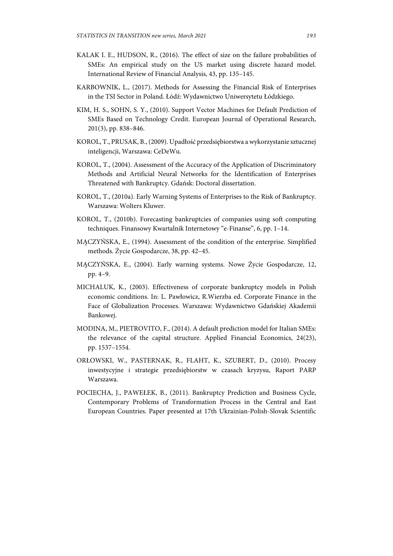- KALAK I. E., HUDSON, R., (2016). The effect of size on the failure probabilities of SMEs: An empirical study on the US market using discrete hazard model. International Review of Financial Analysis, 43, pp. 135–145.
- KARBOWNIK, L., (2017). Methods for Assessing the Financial Risk of Enterprises in the TSI Sector in Poland. Łódź: Wydawnictwo Uniwersytetu Łódzkiego.
- KIM, H. S., SOHN, S. Y., (2010). Support Vector Machines for Default Prediction of SMEs Based on Technology Credit. European Journal of Operational Research, 201(3), pp. 838–846.
- KOROL, T., PRUSAK, B., (2009). Upadłość przedsiębiorstwa a wykorzystanie sztucznej inteligencji, Warszawa: CeDeWu.
- KOROL, T., (2004). Assessment of the Accuracy of the Application of Discriminatory Methods and Artificial Neural Networks for the Identification of Enterprises Threatened with Bankruptcy. Gdańsk: Doctoral dissertation.
- KOROL, T., (2010a). Early Warning Systems of Enterprises to the Risk of Bankruptcy. Warszawa: Wolters Kluwer.
- KOROL, T., (2010b). Forecasting bankruptcies of companies using soft computing techniques. Finansowy Kwartalnik Internetowy "e-Finanse", 6, pp. 1–14.
- MĄCZYŃSKA, E., (1994). Assessment of the condition of the enterprise. Simplified methods. Życie Gospodarcze, 38, pp. 42–45.
- MĄCZYŃSKA, E., (2004). Early warning systems. Nowe Życie Gospodarcze, 12, pp. 4–9.
- MICHALUK, K., (2003). Effectiveness of corporate bankruptcy models in Polish economic conditions. In: L. Pawłowicz, R.Wierzba ed. Corporate Finance in the Face of Globalization Processes. Warszawa: Wydawnictwo Gdańskiej Akademii Bankowej.
- MODINA, M., PIETROVITO, F., (2014). A default prediction model for Italian SMEs: the relevance of the capital structure. Applied Financial Economics, 24(23), pp. 1537–1554.
- ORŁOWSKI, W., PASTERNAK, R., FLAHT, K., SZUBERT, D., (2010). Procesy inwestycyjne i strategie przedsiębiorstw w czasach kryzysu, Raport PARP Warszawa.
- POCIECHA, J., PAWEŁEK, B., (2011). Bankruptcy Prediction and Business Cycle, Contemporary Problems of Transformation Process in the Central and East European Countries. Paper presented at 17th Ukrainian-Polish-Slovak Scientific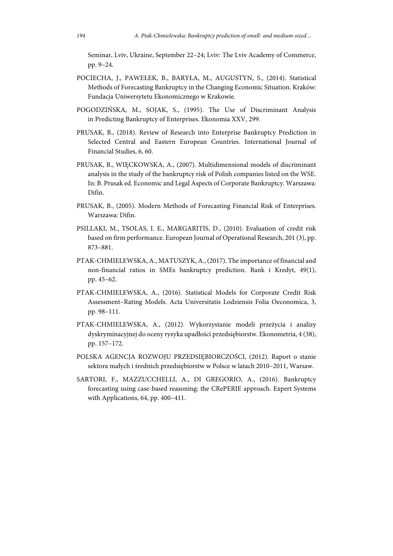Seminar, Lviv, Ukraine, September 22–24; Lviv: The Lviv Academy of Commerce, pp. 9–24.

- POCIECHA, J., PAWEŁEK, B., BARYŁA, M., AUGUSTYN, S., (2014). Statistical Methods of Forecasting Bankruptcy in the Changing Economic Situation. Kraków: Fundacja Uniwersytetu Ekonomicznego w Krakowie.
- POGODZIŃSKA, M., SOJAK, S., (1995). The Use of Discriminant Analysis in Predicting Bankruptcy of Enterprises. Ekonomia XXV, 299.
- PRUSAK, B., (2018). Review of Research into Enterprise Bankruptcy Prediction in Selected Central and Eastern European Countries. International Journal of Financial Studies, 6, 60.
- PRUSAK, B., WIĘCKOWSKA, A., (2007). Multidimensional models of discriminant analysis in the study of the bankruptcy risk of Polish companies listed on the WSE. In: B. Prusak ed. Economic and Legal Aspects of Corporate Bankruptcy. Warszawa: Difin.
- PRUSAK, B., (2005). Modern Methods of Forecasting Financial Risk of Enterprises. Warszawa: Difin.
- PSILLAKI, M., TSOLAS, I. E., MARGARITIS, D., (2010). Evaluation of credit risk based on firm performance. European Journal of Operational Research, 201 (3), pp. 873–881.
- PTAK-CHMIELEWSKA, A., MATUSZYK, A., (2017). The importance of financial and non-financial ratios in SMEs bankruptcy prediction. Bank i Kredyt, 49(1), pp. 45–62.
- PTAK-CHMIELEWSKA, A., (2016). Statistical Models for Corporate Credit Risk Assessment–Rating Models. Acta Universitatis Lodziensis Folia Oeconomica, 3, pp. 98–111.
- PTAK-CHMIELEWSKA, A., (2012). Wykorzystanie modeli przeżycia i analizy dyskryminacyjnej do oceny ryzyka upadłości przedsiębiorstw. Ekonometria, 4 (38), pp. 157–172.
- POLSKA AGENCJA ROZWOJU PRZEDSIĘBIORCZOŚCI, (2012). Raport o stanie sektora małych i średnich przedsiębiorstw w Polsce w latach 2010–2011, Warsaw.
- SARTORI, F., MAZZUCCHELLI, A., DI GREGORIO, A., (2016). Bankruptcy forecasting using case-based reasoning: the CRePERIE approach. Expert Systems with Applications, 64, pp. 400–411.